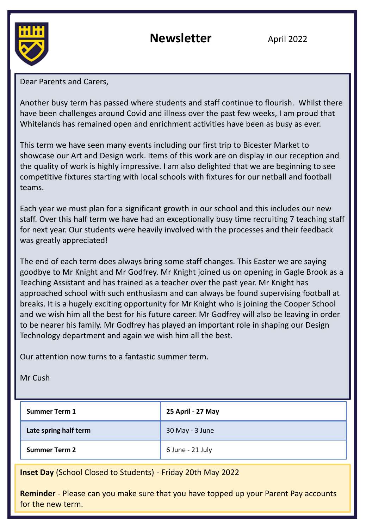

**Newsletter April 2022** 

Dear Parents and Carers,

Another busy term has passed where students and staff continue to flourish. Whilst there have been challenges around Covid and illness over the past few weeks, I am proud that Whitelands has remained open and enrichment activities have been as busy as ever.

This term we have seen many events including our first trip to Bicester Market to showcase our Art and Design work. Items of this work are on display in our reception and the quality of work is highly impressive. I am also delighted that we are beginning to see competitive fixtures starting with local schools with fixtures for our netball and football teams.

Each year we must plan for a significant growth in our school and this includes our new staff. Over this half term we have had an exceptionally busy time recruiting 7 teaching staff for next year. Our students were heavily involved with the processes and their feedback was greatly appreciated!

The end of each term does always bring some staff changes. This Easter we are saying goodbye to Mr Knight and Mr Godfrey. Mr Knight joined us on opening in Gagle Brook as a Teaching Assistant and has trained as a teacher over the past year. Mr Knight has approached school with such enthusiasm and can always be found supervising football at breaks. It is a hugely exciting opportunity for Mr Knight who is joining the Cooper School and we wish him all the best for his future career. Mr Godfrey will also be leaving in order to be nearer his family. Mr Godfrey has played an important role in shaping our Design Technology department and again we wish him all the best.

Our attention now turns to a fantastic summer term.

Mr Cush

| <b>Summer Term 1</b>  | 25 April - 27 May |
|-----------------------|-------------------|
| Late spring half term | 30 May - 3 June   |
| <b>Summer Term 2</b>  | 6 June - 21 July  |

**Inset Day** (School Closed to Students) - Friday 20th May 2022

**Reminder** - Please can you make sure that you have topped up your Parent Pay accounts for the new term.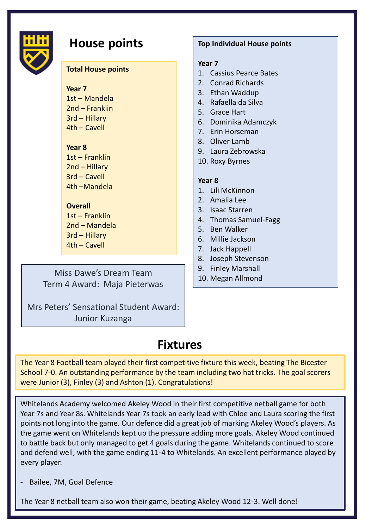

## **House points**

#### **Total House points**

**Year 7** 1st – Mandela 2nd – Franklin 3rd – Hillary 4th – Cavell

#### **Year 8**

1st – Franklin 2nd – Hillary 3rd – Cavell 4th –Mandela

#### **Overall**

1st – Franklin 2nd – Mandela 3rd – Hillary 4th – Cavell

Miss Dawe's Dream Team Term 4 Award: Maja Pieterwas

Mrs Peters' Sensational Student Award: Junior Kuzanga

#### **Top Individual House points**

#### **Year 7**

- 1. Cassius Pearce Bates
- 2. Conrad Richards
- 3. Ethan Waddup
- 4. Rafaella da Silva
- 5. Grace Hart
- 6. Dominika Adamczyk
- 7. Erin Horseman
- 8. Oliver Lamb
- 9. Laura Zebrowska
- 10. Roxy Byrnes

#### **Year 8**

- 1. Lili McKinnon
- 2. Amalia Lee
- 3. Isaac Starren
- 4. Thomas Samuel-Fagg
- 5. Ben Walker
- 6. Millie Jackson
- 7. Jack Happell
- 8. Joseph Stevenson
- 9. Finley Marshall
- 10. Megan Allmond

### **Fixtures**

The Year 8 Football team played their first competitive fixture this week, beating The Bicester School 7-0. An outstanding performance by the team including two hat tricks. The goal scorers were Junior (3), Finley (3) and Ashton (1). Congratulations!

Whitelands Academy welcomed Akeley Wood in their first competitive netball game for both Year 7s and Year 8s. Whitelands Year 7s took an early lead with Chloe and Laura scoring the first points not long into the game. Our defence did a great job of marking Akeley Wood's players. As the game went on Whitelands kept up the pressure adding more goals. Akeley Wood continued to battle back but only managed to get 4 goals during the game. Whitelands continued to score and defend well, with the game ending 11-4 to Whitelands. An excellent performance played by every player.

Bailee, 7M, Goal Defence

The Year 8 netball team also won their game, beating Akeley Wood 12-3. Well done!